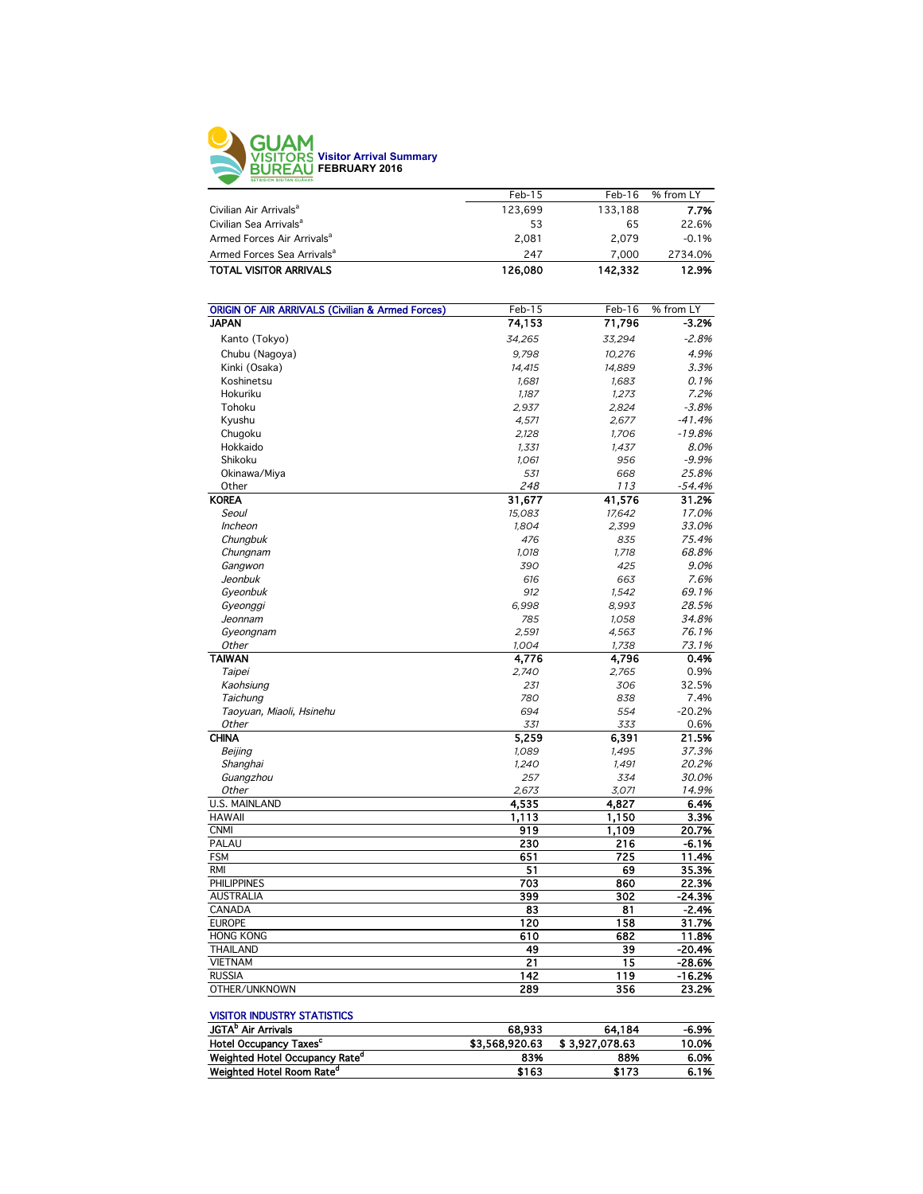

|         | $Feb-16$ | % from LY |
|---------|----------|-----------|
| 123.699 | 133.188  | 7.7%      |
| 53      | 65       | 22.6%     |
| 2.081   | 2.079    | $-0.1%$   |
| 247     | 7.000    | 2734.0%   |
| 126.080 | 142.332  | 12.9%     |
|         | $Feb-15$ |           |

| <b>ORIGIN OF AIR ARRIVALS (Civilian &amp; Armed Forces)</b> | Feb-15 | Feb-16 | % from LY |
|-------------------------------------------------------------|--------|--------|-----------|
| <b>JAPAN</b>                                                | 74,153 | 71,796 | $-3.2%$   |
| Kanto (Tokyo)                                               | 34,265 | 33,294 | $-2.8%$   |
| Chubu (Nagoya)                                              | 9.798  | 10.276 | 4.9%      |
| Kinki (Osaka)                                               | 14.415 | 14.889 | 3.3%      |
| Koshinetsu                                                  | 1,681  | 1,683  | 0.1%      |
| Hokuriku                                                    | 1.187  | 1.273  | 7.2%      |
| Tohoku                                                      | 2,937  | 2,824  | $-3.8%$   |
| Kyushu                                                      | 4,571  | 2,677  | $-41.4%$  |
| Chugoku                                                     | 2,128  | 1.706  | $-19.8%$  |
| Hokkaido                                                    | 1,331  | 1,437  | 8.0%      |
| Shikoku                                                     | 1,061  | 956    | $-9.9%$   |
| Okinawa/Miya                                                | 531    | 668    | 25.8%     |
| Other                                                       | 248    | 113    | $-54.4%$  |
| <b>KOREA</b>                                                | 31,677 | 41,576 | 31.2%     |
| Seoul                                                       | 15,083 | 17,642 | 17.0%     |
| Incheon                                                     | 1,804  | 2,399  | 33.0%     |
| Chungbuk                                                    | 476    | 835    | 75.4%     |
| Chungnam                                                    | 1,018  | 1,718  | 68.8%     |
| Gangwon                                                     | 390    | 425    | 9.0%      |
| Jeonbuk                                                     | 616    | 663    | 7.6%      |
| Gyeonbuk                                                    | 912    | 1,542  | 69.1%     |
| Gyeonggi                                                    | 6,998  | 8,993  | 28.5%     |
| Jeonnam                                                     | 785    | 1,058  | 34.8%     |
| Gyeongnam                                                   | 2,591  | 4,563  | 76.1%     |
| Other                                                       | 1,004  | 1,738  | 73.1%     |
| <b>TAIWAN</b>                                               | 4,776  | 4,796  | 0.4%      |
| Taipei                                                      | 2,740  | 2,765  | 0.9%      |
| Kaohsiung                                                   | 231    | 306    | 32.5%     |
| Taichung                                                    | 780    | 838    | 7.4%      |
| Taoyuan, Miaoli, Hsinehu                                    | 694    | 554    | $-20.2%$  |
| Other                                                       | 331    | 333    | 0.6%      |
| <b>CHINA</b>                                                | 5,259  | 6,391  | 21.5%     |
| Beijing                                                     | 1,089  | 1,495  | 37.3%     |
| Shanghai                                                    | 1.240  | 1,491  | 20.2%     |
| Guangzhou                                                   | 257    | 334    | 30.0%     |
| Other                                                       | 2.673  | 3,071  | 14.9%     |
| U.S. MAINLAND                                               | 4.535  | 4,827  | 6.4%      |
| <b>HAWAII</b>                                               | 1,113  | 1,150  | 3.3%      |
| <b>CNMI</b>                                                 | 919    | 1,109  | 20.7%     |
| PALAU                                                       | 230    | 216    | $-6.1%$   |
| <b>FSM</b>                                                  | 651    | 725    | 11.4%     |
| <b>RMI</b>                                                  | 51     | 69     | 35.3%     |
| <b>PHILIPPINES</b>                                          | 703    | 860    | 22.3%     |
| <b>AUSTRALIA</b>                                            | 399    | 302    | $-24.3%$  |
| CANADA                                                      | 83     | 81     | $-2.4%$   |
| <b>EUROPE</b>                                               | 120    | 158    | 31.7%     |
| <b>HONG KONG</b>                                            | 610    | 682    | 11.8%     |
| THAILAND                                                    | 49     | 39     | $-20.4%$  |
| <b>VIETNAM</b>                                              | 21     | 15     | $-28.6%$  |
| <b>RUSSIA</b>                                               | 142    | 119    | $-16.2%$  |
| OTHER/UNKNOWN                                               | 289    | 356    | 23.2%     |
|                                                             |        |        |           |

#### VISITOR INDUSTRY STATISTICS

| <b>JGTA</b> <sup>P</sup> Air Arrivals      | 68.933         | 64.184         | -6.9% |
|--------------------------------------------|----------------|----------------|-------|
| Hotel Occupancy Taxes <sup>c</sup>         | \$3,568,920.63 | \$3.927.078.63 | 10.0% |
| Weighted Hotel Occupancy Rate <sup>a</sup> | 83%            | 88%            | 6.0%  |
| Weighted Hotel Room Rate <sup>a</sup>      | \$163          | \$173          | 6.1%  |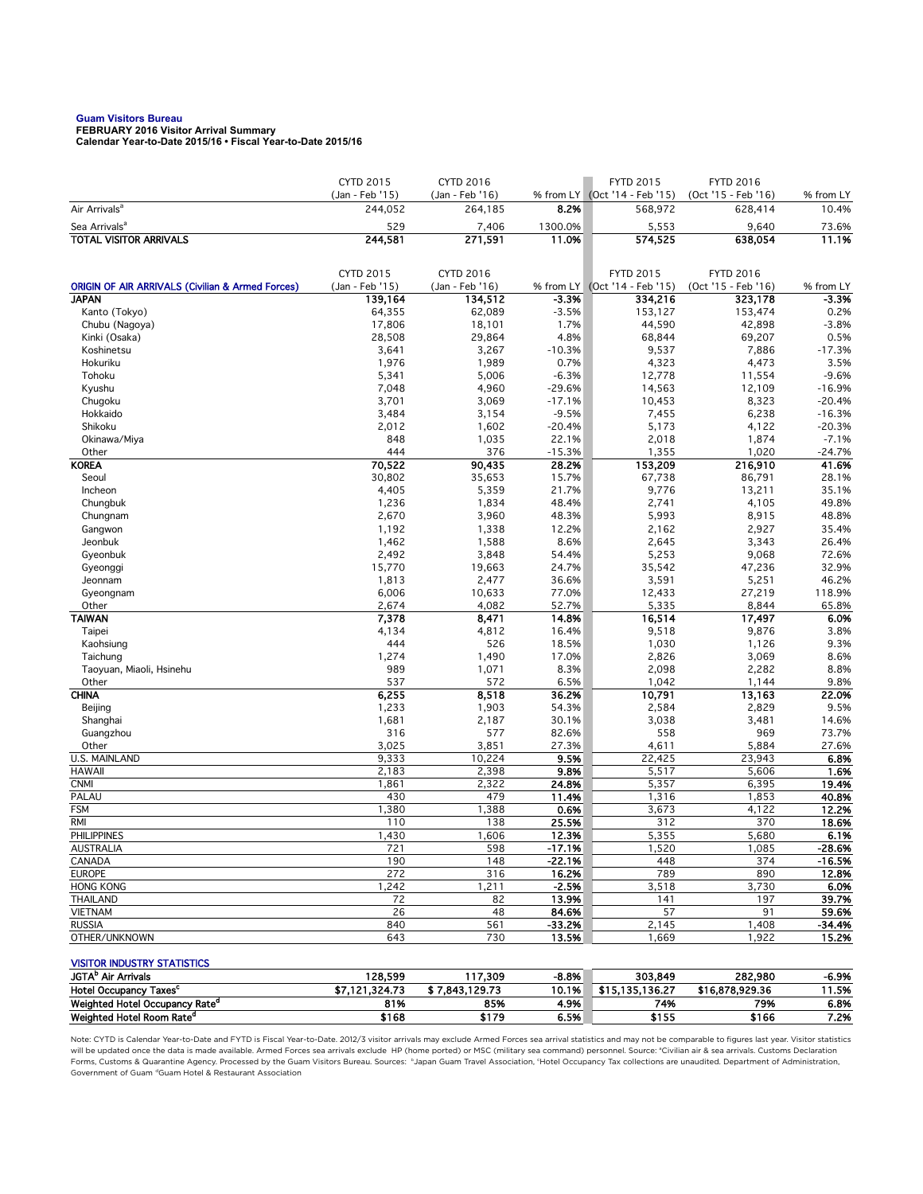# **Guam Visitors Bureau FEBRUARY 2016 Visitor Arrival Summary**

**Calendar Year-to-Date 2015/16 • Fiscal Year-to-Date 2015/16** 

|                                                             | CYTD 2015                  | CYTD 2016                  |                | <b>FYTD 2015</b>                         | <b>FYTD 2016</b>                        |                    |
|-------------------------------------------------------------|----------------------------|----------------------------|----------------|------------------------------------------|-----------------------------------------|--------------------|
| Air Arrivals <sup>a</sup>                                   | (Jan - Feb '15)<br>244,052 | (Jan - Feb '16)<br>264,185 | 8.2%           | % from LY (Oct '14 - Feb '15)<br>568,972 | (Oct '15 - Feb '16)<br>628,414          | % from LY<br>10.4% |
| Sea Arrivals <sup>a</sup>                                   | 529                        | 7,406                      | 1300.0%        | 5,553                                    | 9,640                                   | 73.6%              |
| <b>TOTAL VISITOR ARRIVALS</b>                               | 244,581                    | 271,591                    | 11.0%          | 574,525                                  | 638,054                                 | 11.1%              |
|                                                             |                            |                            |                |                                          |                                         |                    |
|                                                             | CYTD 2015                  | CYTD 2016                  |                | <b>FYTD 2015</b>                         |                                         |                    |
| <b>ORIGIN OF AIR ARRIVALS (Civilian &amp; Armed Forces)</b> | (Jan - Feb '15)            | (Jan - Feb '16)            |                | % from LY (Oct '14 - Feb '15)            | <b>FYTD 2016</b><br>(Oct '15 - Feb '16) | % from LY          |
| <b>JAPAN</b>                                                | 139,164                    | 134,512                    | $-3.3%$        | 334,216                                  | 323,178                                 | $-3.3%$            |
| Kanto (Tokyo)                                               | 64,355                     | 62,089                     | $-3.5%$        | 153,127                                  | 153,474                                 | 0.2%               |
| Chubu (Nagoya)                                              | 17,806                     | 18,101                     | 1.7%           | 44,590                                   | 42,898                                  | $-3.8%$            |
| Kinki (Osaka)                                               | 28,508                     | 29,864                     | 4.8%           | 68,844                                   | 69,207                                  | 0.5%               |
| Koshinetsu                                                  | 3,641                      | 3,267                      | $-10.3%$       | 9,537                                    | 7,886                                   | $-17.3%$           |
| Hokuriku                                                    | 1,976                      | 1,989                      | 0.7%           | 4,323                                    | 4,473                                   | 3.5%               |
| Tohoku                                                      | 5,341                      | 5,006                      | $-6.3%$        | 12,778                                   | 11,554                                  | $-9.6%$            |
| Kyushu                                                      | 7,048                      | 4,960                      | $-29.6%$       | 14,563                                   | 12,109                                  | $-16.9%$           |
| Chugoku                                                     | 3,701                      | 3,069                      | $-17.1%$       | 10,453                                   | 8,323                                   | $-20.4%$           |
| Hokkaido                                                    | 3,484                      | 3,154                      | $-9.5%$        | 7,455                                    | 6,238                                   | $-16.3%$           |
| Shikoku                                                     | 2,012                      | 1,602                      | $-20.4%$       | 5,173                                    | 4,122                                   | $-20.3%$           |
| Okinawa/Miya                                                | 848                        | 1,035                      | 22.1%          | 2,018                                    | 1,874                                   | $-7.1%$            |
| Other                                                       | 444                        | 376                        | $-15.3%$       | 1,355                                    | 1,020                                   | $-24.7%$           |
| <b>KOREA</b>                                                | 70,522                     | 90,435                     | 28.2%          | 153,209                                  | 216,910                                 | 41.6%              |
| Seoul                                                       | 30,802                     | 35,653                     | 15.7%          | 67,738                                   | 86,791                                  | 28.1%              |
| Incheon                                                     | 4,405                      | 5,359                      | 21.7%          | 9,776                                    | 13,211                                  | 35.1%              |
| Chungbuk                                                    | 1,236                      | 1,834                      | 48.4%          | 2,741                                    | 4,105                                   | 49.8%              |
| Chungnam                                                    | 2,670                      | 3,960                      | 48.3%          | 5,993                                    | 8,915                                   | 48.8%              |
| Gangwon                                                     | 1,192                      | 1,338                      | 12.2%          | 2,162                                    | 2,927                                   | 35.4%              |
| Jeonbuk                                                     | 1,462                      | 1,588                      | 8.6%           | 2,645                                    | 3,343                                   | 26.4%              |
| Gyeonbuk                                                    | 2,492                      | 3,848                      | 54.4%          | 5,253                                    | 9,068                                   | 72.6%              |
| Gyeonggi                                                    | 15,770                     | 19,663                     | 24.7%          | 35,542                                   | 47,236                                  | 32.9%              |
| Jeonnam                                                     | 1,813                      | 2,477                      | 36.6%          | 3,591                                    | 5,251                                   | 46.2%              |
| Gyeongnam<br>Other                                          | 6,006<br>2,674             | 10,633<br>4,082            | 77.0%<br>52.7% | 12,433<br>5,335                          | 27,219<br>8,844                         | 118.9%<br>65.8%    |
| <b>TAIWAN</b>                                               | 7,378                      | 8,471                      | 14.8%          | 16,514                                   | 17,497                                  | 6.0%               |
| Taipei                                                      | 4,134                      | 4,812                      | 16.4%          | 9,518                                    | 9,876                                   | 3.8%               |
| Kaohsiung                                                   | 444                        | 526                        | 18.5%          | 1,030                                    | 1,126                                   | 9.3%               |
| Taichung                                                    | 1,274                      | 1,490                      | 17.0%          | 2,826                                    | 3,069                                   | 8.6%               |
| Taoyuan, Miaoli, Hsinehu                                    | 989                        | 1,071                      | 8.3%           | 2,098                                    | 2,282                                   | 8.8%               |
| Other                                                       | 537                        | 572                        | 6.5%           | 1,042                                    | 1,144                                   | 9.8%               |
| <b>CHINA</b>                                                | 6,255                      | 8,518                      | 36.2%          | 10,791                                   | 13,163                                  | 22.0%              |
| Beijing                                                     | 1,233                      | 1,903                      | 54.3%          | 2,584                                    | 2,829                                   | 9.5%               |
| Shanghai                                                    | 1,681                      | 2,187                      | 30.1%          | 3,038                                    | 3,481                                   | 14.6%              |
| Guangzhou                                                   | 316                        | 577                        | 82.6%          | 558                                      | 969                                     | 73.7%              |
| Other                                                       | 3,025                      | 3,851                      | 27.3%          | 4,611                                    | 5,884                                   | 27.6%              |
| <b>U.S. MAINLAND</b>                                        | 9,333                      | 10,224                     | 9.5%           | 22,425                                   | 23,943                                  | 6.8%               |
| <b>HAWAII</b>                                               | 2,183                      | 2,398                      | 9.8%           | 5,517                                    | 5,606                                   | 1.6%               |
| <b>CNMI</b>                                                 | 1,861                      | 2,322                      | 24.8%          | 5,357                                    | 6,395                                   | 19.4%              |
| PALAU                                                       | 430                        | 479                        | 11.4%          | 1,316                                    | 1,853                                   | 40.8%              |
| <b>FSM</b>                                                  | 1,380                      | 1,388                      | 0.6%           | 3,673                                    | 4,122                                   | 12.2%              |
| <b>RMI</b>                                                  | 110                        | 138                        | 25.5%          | 312                                      | 370                                     | 18.6%              |
| <b>PHILIPPINES</b>                                          | 1,430                      | 1,606                      | 12.3%          | 5,355                                    | 5,680                                   | 6.1%               |
| AUSTRALIA                                                   | 721                        | 598                        | -17.1%         | 1,520                                    | 1,085                                   | -28.6%             |
| CANADA                                                      | 190                        | 148                        | $-22.1%$       | 448                                      | 374                                     | $-16.5%$           |
| <b>EUROPE</b>                                               | 272                        | 316                        | 16.2%          | 789                                      | 890                                     | 12.8%              |
| <b>HONG KONG</b>                                            | 1,242                      | 1,211                      | $-2.5%$        | 3,518                                    | 3,730                                   | 6.0%               |
| <b>THAILAND</b>                                             | 72                         | 82                         | 13.9%          | 141                                      | 197                                     | 39.7%              |
| <b>VIETNAM</b>                                              | 26                         | 48                         | 84.6%          | 57                                       | 91                                      | 59.6%              |
| <b>RUSSIA</b>                                               | 840                        | 561                        | $-33.2%$       | 2,145                                    | 1,408                                   | $-34.4%$           |
| OTHER/UNKNOWN                                               | 643                        | 730                        | 13.5%          | 1,669                                    | 1,922                                   | 15.2%              |
| <b>VISITOR INDUSTRY STATISTICS</b>                          |                            |                            |                |                                          |                                         |                    |
| JGTA <sup>b</sup> Air Arrivals                              | 128,599                    | 117,309                    | $-8.8%$        | 303,849                                  | 282,980                                 | -6.9%              |
|                                                             |                            |                            |                |                                          |                                         |                    |

Note: CYTD is Calendar Year-to-Date and FYTD is Fiscal Year-to-Date. 2012/3 visitor arrivals may exclude Armed Forces sea arrival statistics and may not be comparable to figures last year. Visitor statistics will be updated once the data is made available. Armed Forces sea arrivals exclude HP (home ported) or MSC (military sea command) personnel. Source: °Civilian air & sea arrivals. Customs Declaration<br>Forms, Customs & Quaran Government of Guam dGuam Hotel & Restaurant Association

Hotel Occupancy Taxes<sup>c</sup> \$7,121,324.73 7,843,129.73 10.1% \$15,135,136.27 \$16,878,929.36 11.5% Weighted Hotel Occupancy Rate<sup>d</sup> 81% 85% 4.9% 74% 79% 6.8% Weighted Hotel Room Rate<sup>d</sup> \$168 \$179 6.5% \$155 \$166 7.2%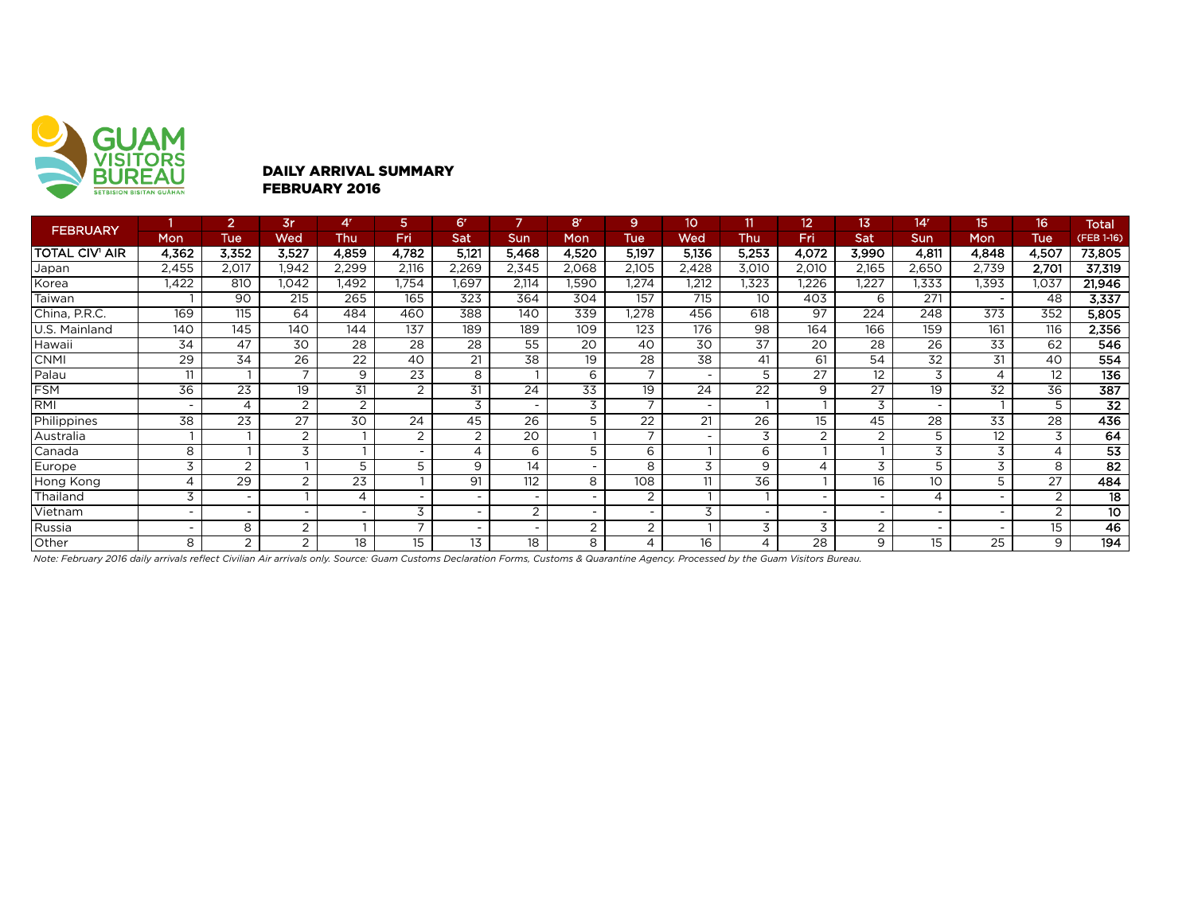

#### DAILY ARRIVAL SUMMARY FEBRUARY 2016

| <b>FEBRUARY</b>       |                          | $\overline{2}$  | 3r                       | 4'             | 5                        | 6 <sup>r</sup>           |                          | 8r                       | 9.                       | 10                       |                          | 12                       | 13                       | 14 <sup>r</sup>          | 15                       | 16              | <b>Total</b>    |
|-----------------------|--------------------------|-----------------|--------------------------|----------------|--------------------------|--------------------------|--------------------------|--------------------------|--------------------------|--------------------------|--------------------------|--------------------------|--------------------------|--------------------------|--------------------------|-----------------|-----------------|
|                       | Mon                      | <b>Tue</b>      | Wed                      | Thu            | Fri                      | Sat                      | Sun                      | Mon                      | <b>Tue</b>               | Wed                      | Thu                      | Fri                      | Sat                      | Sun                      | Mon                      | Tue             | (FEB 1-16)      |
| <b>TOTAL CIV' AIR</b> | 4,362                    | 3,352           | 3,527                    | 4,859          | 4,782                    | 5,121                    | 5,468                    | 4,520                    | 5,197                    | 5,136                    | 5,253                    | 4,072                    | 3,990                    | 4,811                    | 4,848                    | 4,507           | 73,805          |
| Japan                 | 2,455                    | 2,017           | 1,942                    | 2,299          | 2,116                    | 2,269                    | 2,345                    | 2,068                    | 2,105                    | 2,428                    | 3,010                    | 2,010                    | 2,165                    | 2,650                    | 2,739                    | 2,701           | 37,319          |
| Korea                 | 1,422                    | 810             | 1,042                    | 1,492          | 1,754                    | 1,697                    | 2,114                    | <b>.590</b>              | 1,274                    | 1,212                    | 1,323                    | 1,226                    | ,227                     | 1,333                    | 1,393                    | 1,037           | 21,946          |
| Taiwan                |                          | 90              | 215                      | 265            | 165                      | 323                      | 364                      | 304                      | 157                      | 715                      | 10                       | 403                      | 6                        | 271                      | $\overline{\phantom{0}}$ | 48              | 3,337           |
| China, P.R.C.         | 169                      | 115             | 64                       | 484            | 460                      | 388                      | 140                      | 339                      | .278                     | 456                      | 618                      | 97                       | 224                      | 248                      | 373                      | 352             | 5,805           |
| U.S. Mainland         | 140                      | 145             | 140                      | 144            | 137                      | 189                      | 189                      | 109                      | 123                      | 176                      | 98                       | 164                      | 166                      | 159                      | 161                      | 116             | 2,356           |
| Hawaii)               | 34                       | 47              | 30                       | 28             | $\overline{28}$          | $\overline{28}$          | 55                       | 20                       | 40                       | 30                       | 37                       | 20                       | 28                       | $\overline{26}$          | $\overline{33}$          | 62              | 546             |
| <b>CNMI</b>           | 29                       | 34              | 26                       | 22             | 40                       | 21                       | 38                       | 19                       | 28                       | 38                       | 41                       | 61                       | 54                       | 32                       | 31                       | 40              | 554             |
| Palau                 | 11                       |                 | $\overline{\phantom{a}}$ | 9              | $\overline{23}$          | 8                        |                          | 6                        | $\overline{\phantom{0}}$ |                          | 5                        | $\overline{27}$          | 12                       | 3                        | 4                        | 12              | 136             |
| <b>FSM</b>            | 36                       | $\overline{23}$ | 19                       | 31             | 2                        | 31                       | 24                       | 33                       | 19                       | 24                       | 22                       | 9                        | $\overline{27}$          | 19                       | 32                       | $\overline{36}$ | 387             |
| <b>RMI</b>            |                          | $\overline{4}$  | 2                        | $\overline{2}$ |                          | 3                        | $\overline{\phantom{0}}$ | 3                        | $\overline{ }$           | $\overline{\phantom{0}}$ |                          |                          | 3                        |                          | $\mathbf{I}$             | 5               | $\overline{32}$ |
| Philippines           | 38                       | 23              | $\overline{27}$          | 30             | 24                       | 45                       | 26                       | 5                        | 22                       | 21                       | 26                       | 15                       | 45                       | $\overline{28}$          | 33                       | 28              | 436             |
| Australia             |                          |                 | $\overline{2}$           |                | 2                        | 2                        | 20                       |                          | $\overline{\phantom{a}}$ |                          | 3                        | 2                        | $\overline{2}$           | 5                        | 12                       | 3               | 64              |
| Canada                | 8                        |                 | 3                        |                | $\overline{\phantom{a}}$ | 4                        | 6                        | 5                        | 6                        |                          | 6                        |                          |                          | 3                        | 3                        | 4               | 53              |
| Europe                | 3                        | 2               |                          | 5              | 5                        | 9                        | 14                       | $\sim$                   | 8                        | 3                        | 9                        | 4                        | 3                        | 5                        | 3                        | 8               | $\overline{82}$ |
| Hong Kong             | 4                        | 29              | $\overline{2}$           | 23             |                          | 91                       | 112                      | 8                        | 108                      | 11                       | 36                       |                          | 16                       | 10                       | 5                        | 27              | 484             |
| Thailand              | 3                        |                 |                          | 4              | $\overline{\phantom{a}}$ | $\overline{\phantom{a}}$ | $\overline{\phantom{0}}$ | $\sim$                   | $\overline{2}$           |                          |                          |                          |                          | 4                        | $\overline{\phantom{0}}$ | $\overline{2}$  | 18              |
| Vietnam               | $\overline{\phantom{0}}$ |                 |                          |                | 3                        | $\overline{\phantom{a}}$ | 2                        | $\overline{\phantom{a}}$ | ۰                        | 3                        | $\overline{\phantom{a}}$ | $\overline{\phantom{0}}$ | $\overline{\phantom{0}}$ | $\sim$                   | $\overline{\phantom{0}}$ | 2               | 10              |
| Russia                |                          | 8               | $\overline{2}$           |                | $\overline{ }$           | $\overline{\phantom{a}}$ | $\overline{\phantom{a}}$ | 2                        | 2                        |                          | 3                        | 3                        | 2                        | $\overline{\phantom{0}}$ | $\overline{\phantom{0}}$ | 15              | 46              |
| Other                 | 8                        | 2               | $\overline{2}$           | 18             | 15                       | 13                       | 18                       | 8                        | 4                        | 16                       | 4                        | 28                       | 9                        | 15                       | 25                       | 9               | 194             |

*Note: February 2016 daily arrivals reflect Civilian Air arrivals only. Source: Guam Customs Declaration Forms, Customs & Quarantine Agency. Processed by the Guam Visitors Bureau.*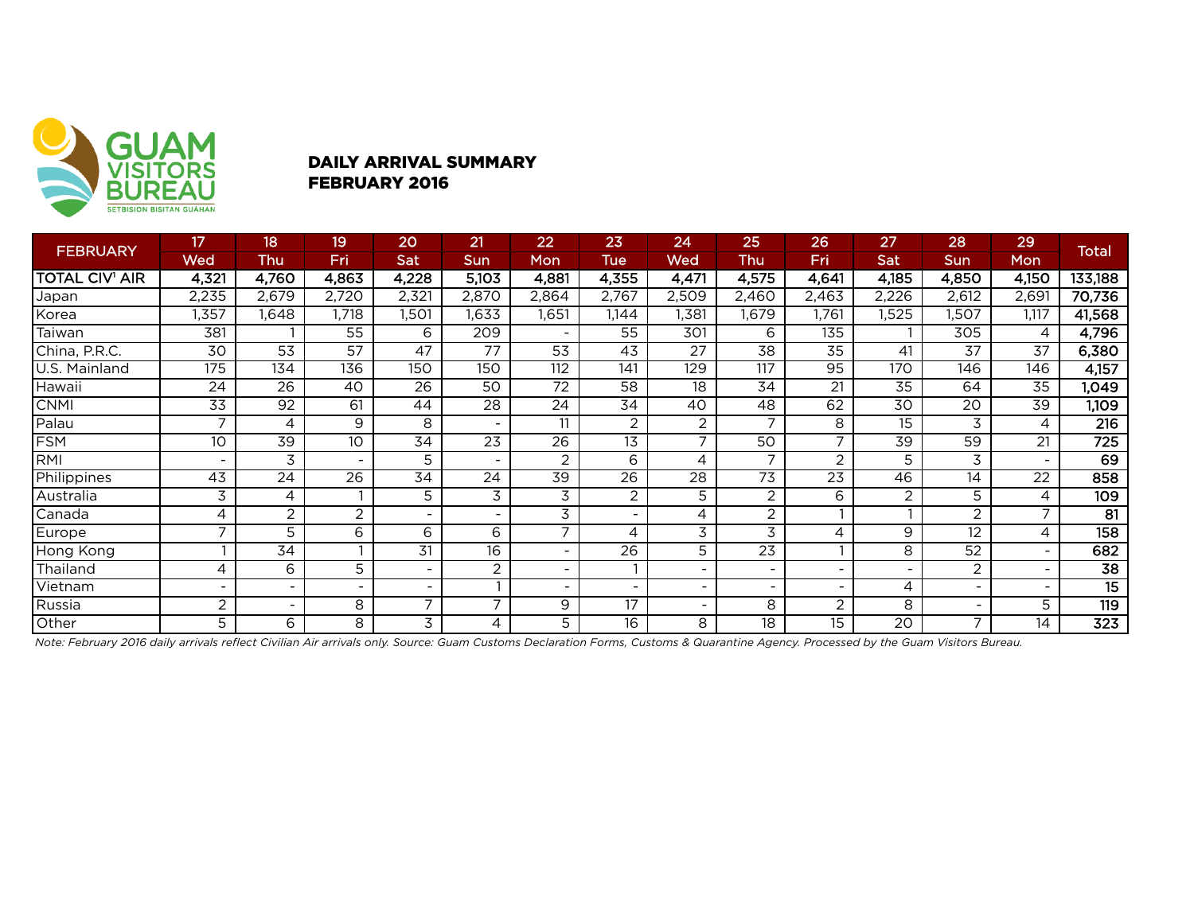

### DAILY ARRIVAL SUMMARY FEBRUARY 2016

|                       | 17                       | 18                       | 19                       | 20                       | 21              | 22                       | 23                       | 24              | 25                       | 26                       | 27              | 28                       | 29                       |                  |
|-----------------------|--------------------------|--------------------------|--------------------------|--------------------------|-----------------|--------------------------|--------------------------|-----------------|--------------------------|--------------------------|-----------------|--------------------------|--------------------------|------------------|
| <b>FEBRUARY</b>       | <b>Wed</b>               | <b>Thu</b>               | Fri                      | Sat                      | Sun             | Mon                      | <b>Tue</b>               | Wed             | Thu                      | Fri                      | Sat             | <b>Sun</b>               | Mon                      | <b>Total</b>     |
| <b>TOTAL CIV' AIR</b> | 4,321                    | 4,760                    | 4,863                    | 4,228                    | 5,103           | 4,881                    | 4,355                    | 4,471           | 4,575                    | 4,641                    | 4,185           | 4,850                    | 4,150                    | 133,188          |
| Japan                 | 2,235                    | 2,679                    | 2,720                    | 2,321                    | 2,870           | 2,864                    | 2,767                    | 2,509           | 2,460                    | 2,463                    | 2,226           | 2,612                    | 2,691                    | 70,736           |
| Korea                 | ,357                     | ,648                     | 1,718                    | 1,501                    | 1,633           | 1,651                    | 1,144                    | 1,381           | 1,679                    | 1,761                    | 1,525           | ,507                     | 1,117                    | 41,568           |
| Taiwan                | 381                      |                          | 55                       | 6                        | 209             | $\overline{\phantom{a}}$ | 55                       | 301             | 6                        | 135                      |                 | 305                      | 4                        | 4,796            |
| China, P.R.C.         | 30                       | 53                       | 57                       | 47                       | 77              | 53                       | 43                       | 27              | 38                       | 35                       | 41              | 37                       | 37                       | 6,380            |
| U.S. Mainland         | 175                      | 134                      | 136                      | 150                      | 150             | 112                      | 141                      | 129             | 117                      | 95                       | 170             | 146                      | 146                      | 4,157            |
| Hawaii                | 24                       | 26                       | 40                       | 26                       | 50              | 72                       | 58                       | 18              | 34                       | 21                       | 35              | 64                       | 35                       | ,049             |
| <b>CNMI</b>           | $\overline{33}$          | $\overline{92}$          | 61                       | 44                       | $\overline{28}$ | $2\overline{4}$          | 34                       | 40              | 48                       | 62                       | $\overline{30}$ | 20                       | $\overline{39}$          | 1,109            |
| Palau                 | ⇁                        | 4                        | 9                        | 8                        |                 | 11                       | 2                        | 2               | $\overline{7}$           | 8                        | 15              | 3                        | 4                        | 216              |
| <b>FSM</b>            | 10                       | $\overline{39}$          | 10                       | $\overline{34}$          | 23              | $\overline{26}$          | 13                       | 7               | 50                       |                          | 39              | 59                       | 21                       | $\overline{725}$ |
| RMI                   |                          | 3                        | $\overline{\phantom{0}}$ | 5                        |                 | 2                        | 6                        | 4               | 7                        | 2                        | 5               | 3                        |                          | 69               |
| Philippines           | 43                       | $\overline{24}$          | $\overline{26}$          | $\overline{34}$          | $\overline{24}$ | $\overline{39}$          | $\overline{26}$          | $\overline{28}$ | $\overline{73}$          | $\overline{23}$          | 46              | 14                       | $\overline{22}$          | 858              |
| Australia             | 3                        | 4                        |                          | 5                        | 3               | 3                        | 2                        | 5               | $\overline{c}$           | 6                        | 2               | 5                        | 4                        | 109              |
| Canada                | 4                        | $\overline{c}$           | $\overline{c}$           | $\overline{\phantom{0}}$ |                 | 3                        | $\overline{\phantom{0}}$ | 4               | 2                        |                          |                 | $\overline{2}$           | $\overline{\phantom{0}}$ | $\overline{81}$  |
| Europe                | $\overline{\phantom{0}}$ | 5                        | 6                        | 6                        | 6               | 7                        | 4                        | 3               | 3                        | 4                        | 9               | 12                       | 4                        | 158              |
| Hong Kong             |                          | 34                       |                          | 31                       | $\overline{16}$ | $\sim$                   | $\overline{26}$          | 5               | $\overline{23}$          |                          | 8               | 52                       | $\overline{\phantom{0}}$ | 682              |
| Thailand              | 4                        | 6                        | 5                        | ٠                        | 2               | $\overline{\phantom{a}}$ |                          |                 | $\overline{\phantom{a}}$ | $\overline{\phantom{0}}$ |                 | $\overline{2}$           |                          | 38               |
| Vietnam               |                          |                          | $\overline{\phantom{0}}$ | $\overline{\phantom{0}}$ |                 | $\overline{\phantom{0}}$ |                          |                 | $\overline{\phantom{0}}$ |                          | 4               | $\overline{\phantom{0}}$ |                          | $\overline{15}$  |
| Russia                | $\overline{2}$           | $\overline{\phantom{0}}$ | 8                        | ⇁                        | $\overline{ }$  | 9                        | 17                       |                 | 8                        | $\overline{2}$           | 8               | -                        | 5                        | 119              |
| Other                 | 5                        | 6                        | 8                        | 3                        | 4               | 5                        | 16                       | 8               | 18                       | 15                       | 20              | 7                        | 14                       | $\overline{323}$ |

*Note: February 2016 daily arrivals reflect Civilian Air arrivals only. Source: Guam Customs Declaration Forms, Customs & Quarantine Agency. Processed by the Guam Visitors Bureau.*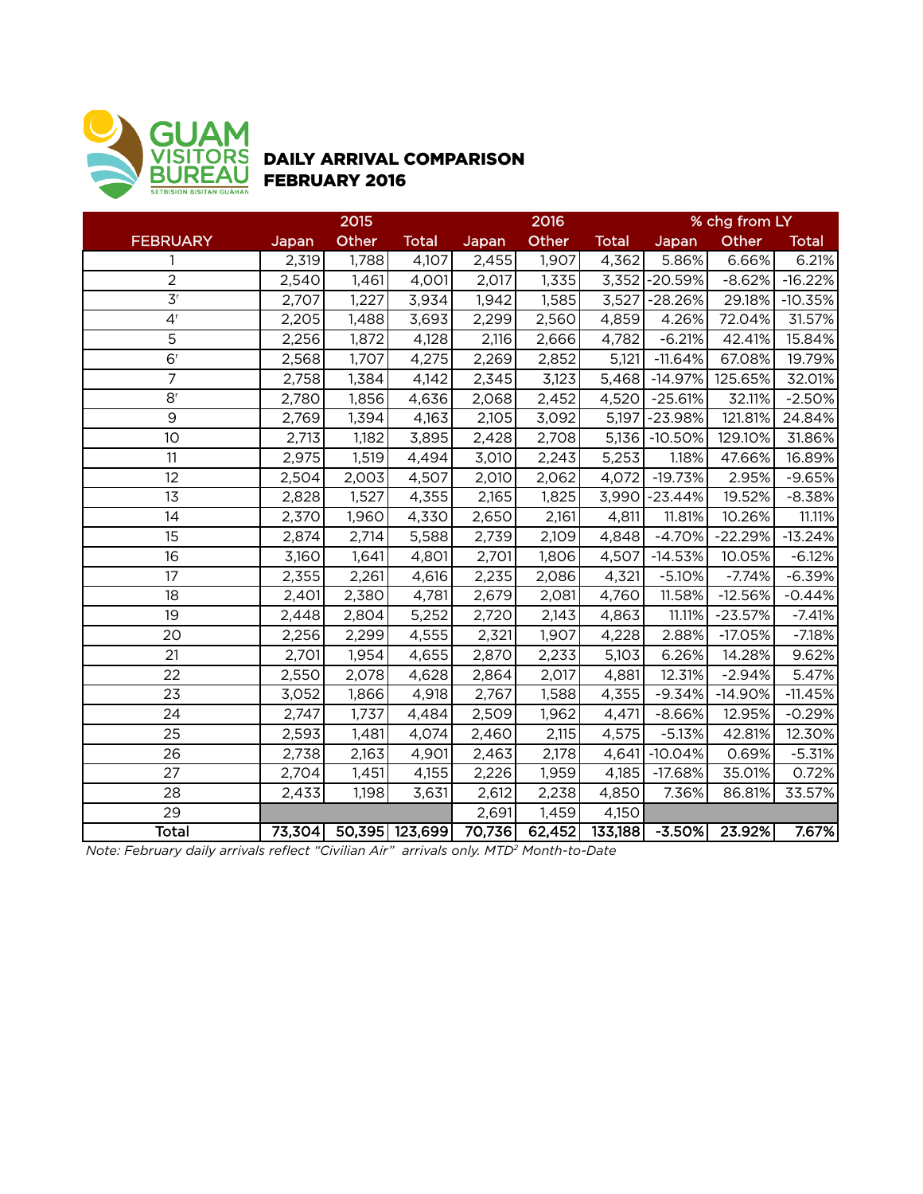

## DAILY ARRIVAL COMPARISON FEBRUARY 2016

|                             | 2015  |       |                       |        | 2016   |              | % chg from LY  |           |              |  |
|-----------------------------|-------|-------|-----------------------|--------|--------|--------------|----------------|-----------|--------------|--|
| <b>FEBRUARY</b>             | Japan | Other | <b>Total</b>          | Japan  | Other  | <b>Total</b> | Japan          | Other     | <b>Total</b> |  |
| 1                           | 2,319 | 1,788 | 4,107                 | 2,455  | 1,907  | 4,362        | 5.86%          | 6.66%     | 6.21%        |  |
| $\overline{2}$              | 2,540 | 1,461 | 4,001                 | 2,017  | 1,335  |              | 3,352 - 20.59% | $-8.62%$  | $-16.22%$    |  |
| $\overline{3}$ <sup>r</sup> | 2,707 | 1,227 | 3,934                 | 1,942  | 1,585  | 3,527        | $-28.26%$      | 29.18%    | $-10.35%$    |  |
| 4 <sup>r</sup>              | 2,205 | 1,488 | 3,693                 | 2,299  | 2,560  | 4,859        | 4.26%          | 72.04%    | 31.57%       |  |
| 5                           | 2,256 | 1,872 | 4,128                 | 2,116  | 2,666  | 4,782        | $-6.21%$       | 42.41%    | 15.84%       |  |
| 6 <sup>r</sup>              | 2,568 | 1,707 | 4,275                 | 2,269  | 2,852  | 5,121        | $-11.64%$      | 67.08%    | 19.79%       |  |
| $\overline{7}$              | 2,758 | 1,384 | 4,142                 | 2,345  | 3,123  | 5,468        | $-14.97%$      | 125.65%   | 32.01%       |  |
| $\mathsf{8}^{\mathsf{r}}$   | 2,780 | 1,856 | 4,636                 | 2,068  | 2,452  | 4,520        | $-25.61%$      | 32.11%    | $-2.50%$     |  |
| $\overline{9}$              | 2,769 | 1,394 | 4,163                 | 2,105  | 3,092  | 5,197        | $-23.98%$      | 121.81%   | 24.84%       |  |
| 10                          | 2,713 | 1,182 | 3,895                 | 2,428  | 2,708  | 5,136        | $-10.50%$      | 129.10%   | 31.86%       |  |
| 11                          | 2,975 | 1,519 | 4,494                 | 3,010  | 2,243  | 5,253        | 1.18%          | 47.66%    | 16.89%       |  |
| 12                          | 2,504 | 2,003 | 4,507                 | 2,010  | 2,062  | 4,072        | $-19.73%$      | 2.95%     | $-9.65%$     |  |
| 13                          | 2,828 | 1,527 | 4,355                 | 2,165  | 1,825  | 3,990        | $-23.44%$      | 19.52%    | $-8.38%$     |  |
| 14                          | 2,370 | 1,960 | 4,330                 | 2,650  | 2,161  | 4,811        | 11.81%         | 10.26%    | 11.11%       |  |
| 15                          | 2,874 | 2,714 | 5,588                 | 2,739  | 2,109  | 4,848        | $-4.70%$       | $-22.29%$ | $-13.24%$    |  |
| 16                          | 3,160 | 1,641 | 4,801                 | 2,701  | 1,806  | 4,507        | $-14.53%$      | 10.05%    | $-6.12%$     |  |
| 17                          | 2,355 | 2,261 | 4,616                 | 2,235  | 2,086  | 4,321        | $-5.10%$       | $-7.74%$  | $-6.39%$     |  |
| 18                          | 2,401 | 2,380 | 4,781                 | 2,679  | 2,081  | 4,760        | 11.58%         | $-12.56%$ | $-0.44%$     |  |
| 19                          | 2,448 | 2,804 | 5,252                 | 2,720  | 2,143  | 4,863        | 11.11%         | $-23.57%$ | $-7.41%$     |  |
| 20                          | 2,256 | 2,299 | 4,555                 | 2,321  | 1,907  | 4,228        | 2.88%          | $-17.05%$ | $-7.18%$     |  |
| 21                          | 2,701 | 1,954 | 4,655                 | 2,870  | 2,233  | 5,103        | 6.26%          | 14.28%    | 9.62%        |  |
| 22                          | 2,550 | 2,078 | 4,628                 | 2,864  | 2,017  | 4,881        | 12.31%         | $-2.94%$  | 5.47%        |  |
| 23                          | 3,052 | 1,866 | 4,918                 | 2,767  | 1,588  | 4,355        | $-9.34%$       | $-14.90%$ | $-11.45%$    |  |
| 24                          | 2,747 | 1,737 | 4,484                 | 2,509  | 1,962  | 4,471        | $-8.66%$       | 12.95%    | $-0.29%$     |  |
| 25                          | 2,593 | 1,481 | 4,074                 | 2,460  | 2,115  | 4,575        | $-5.13%$       | 42.81%    | 12.30%       |  |
| 26                          | 2,738 | 2,163 | 4,901                 | 2,463  | 2,178  | 4,641        | $-10.04%$      | 0.69%     | $-5.31%$     |  |
| 27                          | 2,704 | 1,451 | 4,155                 | 2,226  | 1,959  | 4,185        | $-17.68%$      | 35.01%    | 0.72%        |  |
| 28                          | 2,433 | 1,198 | 3,631                 | 2,612  | 2,238  | 4,850        | 7.36%          | 86.81%    | 33.57%       |  |
| 29                          |       |       |                       | 2,691  | 1,459  | 4,150        |                |           |              |  |
| Total                       |       |       | 73,304 50,395 123,699 | 70,736 | 62,452 | 133,188      | $-3.50%$       | 23.92%    | 7.67%        |  |

*Note: February daily arrivals reflect "Civilian Air" arrivals only. MTD2 Month-to-Date*